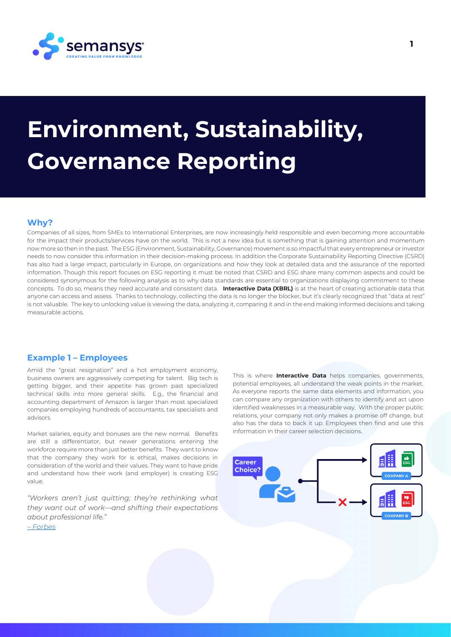

# **Environment, Sustainability, Governance Reporting**

## **Why?**

Companies of all sizes, from SMEs to International Enterprises, are now increasingly held responsible and even becoming more accountable for the impact their products/services have on the world. This is not a new idea but is something that is gaining attention and momentum now more so then in the past. The ESG (Environment, Sustainability, Governance) movement is so impactful that every entrepreneur or investor needs to now consider this information in their decision-making process. In addition the Corporate Sustainability Reporting Directive (CSRD) has also had a large impact, particularly in Europe, on organizations and how they look at detailed data and the assurance of the reported information. Though this report focuses on ESG reporting it must be noted that CSRD and ESG share many common aspects and could be considered synonymous for the following analysis as to why data standards are essential to organizations displaying commitment to these concepts. To do so, means they need accurate and consistent data. **Interactive Data (XBRL)** is at the heart of creating actionable data that anyone can access and assess. Thanks to technology, collecting the data is no longer the blocker, but it's clearly recognized that "data at rest" is not valuable. The key to unlocking value is viewing the data, analyzing it, comparing it and in the end making informed decisions and taking measurable actions.

# **Example 1 – Employees**

Amid the "great resignation" and a hot employment economy, business owners are aggressively competing for talent. Big tech is getting bigger, and their appetite has grown past specialized technical skills into more general skills. E.g., the financial and accounting department of Amazon is larger than most specialized companies employing hundreds of accountants, tax specialists and advisors.

Market salaries, equity and bonuses are the new normal. Benefits are still a differentiator, but newer generations entering the workforce require more than just better benefits. They want to know that the company they work for is ethical, makes decisions in consideration of the world and their values. They want to have pride and understand how their work (and employer) is creating ESG value.

*"Workers aren't just quitting; they're rethinking what they want out of work—and shifting their expectations about professional life." – [Forbes](https://www.forbes.com/sites/jenamcgregor/2021/12/14/2021-brought-us-the-great-resignation-no-one-can-agree-what-to-call-it/)*

This is where **Interactive Data** helps companies, governments, potential employees, all understand the weak points in the market. As everyone reports the same data elements and information, you can compare any organization with others to identify and act upon identified weaknesses in a measurable way. With the proper public relations, your company not only makes a promise off change, but also has the data to back it up. Employees then find and use this information in their career selection decisions.

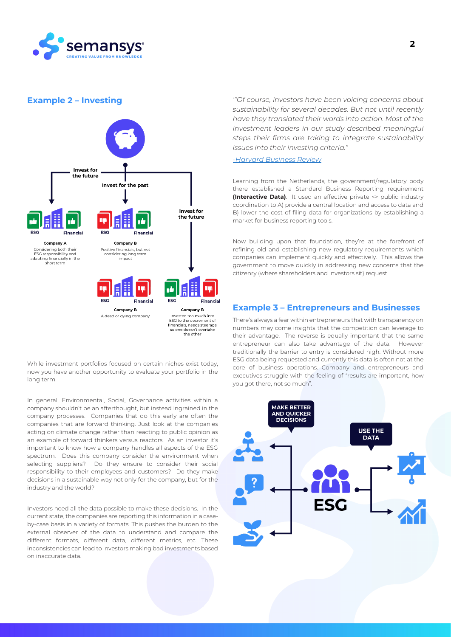

#### **Example 2 – Investing**



While investment portfolios focused on certain niches exist today now you have another opportunity to evaluate your portfolio in the long term.

In general, Environmental, Social, Governance activities within a company shouldn't be an afterthought, but instead ingrained in the company processes. Companies that do this early are often the companies that are forward thinking. Just look at the companies acting on climate change rather than reacting to public opinion as an example of forward thinkers versus reactors. As an investor it's important to know how a company handles all aspects of the ESG spectrum. Does this company consider the environment when selecting suppliers? Do they ensure to consider their social responsibility to their employees and customers? Do they make decisions in a sustainable way not only for the company, but for the industry and the world?

Investors need all the data possible to make these decisions. In the current state, the companies are reporting this information in a caseby-case basis in a variety of formats. This pushes the burden to the external observer of the data to understand and compare the different formats, different data, different metrics, etc. These inconsistencies can lead to investors making bad investments based on inaccurate data.

*'''Of course, investors have been voicing concerns about sustainability for several decades. But not until recently have they translated their words into action. Most of the investment leaders in our study described meaningful steps their firms are taking to integrate sustainability issues into their investing criteria."* 

*[-Harvard Business Review](https://hbr.org/2019/05/the-investor-revolution)*

Learning from the Netherlands, the government/regulatory body there established a Standard Business Reporting requirement **(Interactive Data)**. It used an effective private <> public industry coordination to A) provide a central location and access to data and B) lower the cost of filing data for organizations by establishing a market for business reporting tools.

Now building upon that foundation, they're at the forefront of refining old and establishing new regulatory requirements which companies can implement quickly and effectively. This allows the government to move quickly in addressing new concerns that the citizenry (where shareholders and investors sit) request.

## **Example 3 – Entrepreneurs and Businesses**

There's always a fear within entrepreneurs that with transparency on numbers may come insights that the competition can leverage to their advantage. The reverse is equally important that the same entrepreneur can also take advantage of the data. However traditionally the barrier to entry is considered high. Without more ESG data being requested and currently this data is often not at the core of business operations. Company and entrepreneurs and executives struggle with the feeling of "results are important, how you got there, not so much".

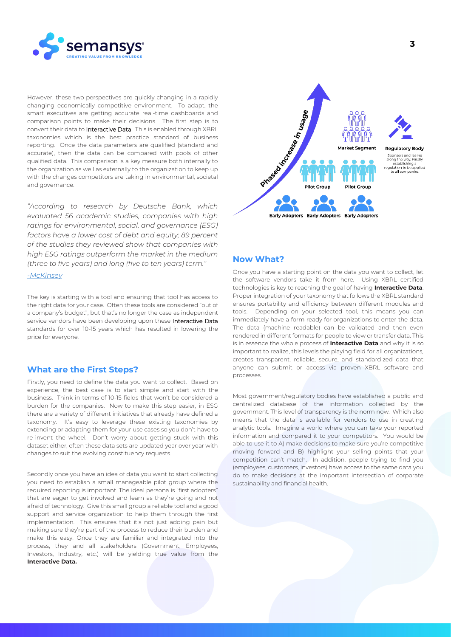

However, these two perspectives are quickly changing in a rapidly changing economically competitive environment. To adapt, the smart executives are getting accurate real-time dashboards and comparison points to make their decisions. The first step is to convert their data to Interactive Data. This is enabled through XBRL taxonomies which is the best practice standard of business reporting. Once the data parameters are qualified (standard and accurate), then the data can be compared with pools of other qualified data. This comparison is a key measure both internally to the organization as well as externally to the organization to keep up with the changes competitors are taking in environmental, societal and governance.

*"According to research by Deutsche Bank, which evaluated 56 academic studies, companies with high ratings for environmental, social, and governance (ESG) factors have a lower cost of debt and equity; 89 percent of the studies they reviewed show that companies with high ESG ratings outperform the market in the medium (three to five years) and long (five to ten years) term."* 

#### *[-McKinsey](https://www.mckinsey.com/~/media/McKinsey/Business%20Functions/Sustainability/Our%20Insights/Profits%20with%20purpose/Profits%20with%20Purpose.ashx)*

The key is starting with a tool and ensuring that tool has access to the right data for your case. Often these tools are considered "out of a company's budget", but that's no longer the case as independent service vendors have been developing upon these Interactive Data standards for over 10-15 years which has resulted in lowering the price for everyone.

# **What are the First Steps?**

Firstly, you need to define the data you want to collect. Based on experience, the best case is to start simple and start with the business. Think in terms of 10-15 fields that won't be considered a burden for the companies. Now to make this step easier, in ESG there are a variety of different initiatives that already have defined a taxonomy. It's easy to leverage these existing taxonomies by extending or adapting them for your use cases so you don't have to re-invent the wheel. Don't worry about getting stuck with this dataset either, often these data sets are updated year over year with changes to suit the evolving constituency requests.

Secondly once you have an idea of data you want to start collecting you need to establish a small manageable pilot group where the required reporting is important. The ideal persona is "first adopters" that are eager to get involved and learn as they're going and not afraid of technology. Give this small group a reliable tool and a good support and service organization to help them through the first implementation. This ensures that it's not just adding pain but making sure they're part of the process to reduce their burden and make this easy. Once they are familiar and integrated into the process, they and all stakeholders (Government, Employees, Investors, Industry, etc.) will be yielding true value from the **Interactive Data.**



#### **Now What?**

Once you have a starting point on the data you want to collect, let the software vendors take it from here. Using XBRL certified technologies is key to reaching the goal of having **Interactive Data**. Proper integration of your taxonomy that follows the XBRL standard ensures portability and efficiency between different modules and tools. Depending on your selected tool, this means you can immediately have a form ready for organizations to enter the data. The data (machine readable) can be validated and then even rendered in different formats for people to view or transfer data. This is in essence the whole process of **Interactive Data** and why it is so important to realize, this levels the playing field for all organizations, creates transparent, reliable, secure, and standardized data that anyone can submit or access via proven XBRL software and processes.

Most government/regulatory bodies have established a public and centralized database of the information collected by the government. This level of transparency is the norm now. Which also means that the data is available for vendors to use in creating analytic tools. Imagine a world where you can take your reported information and compared it to your competitors. You would be able to use it to A) make decisions to make sure you're competitive moving forward and B) highlight your selling points that your competition can't match. In addition, people trying to find you (employees, customers, investors) have access to the same data you do to make decisions at the important intersection of corporate sustainability and financial health.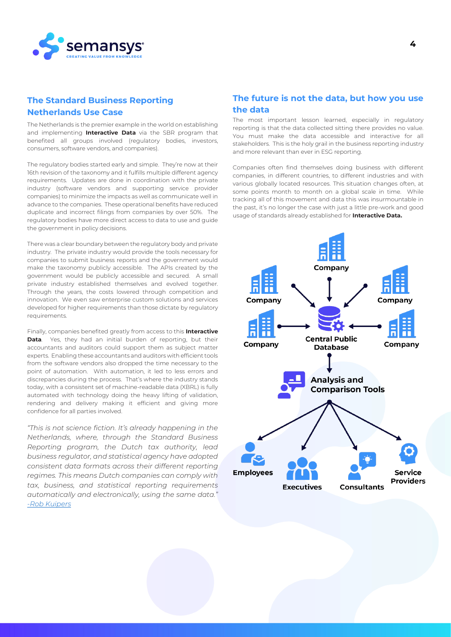

# **The Standard Business Reporting Netherlands Use Case**

The Netherlands is the premier example in the world on establishing and implementing **Interactive Data** via the SBR program that benefited all groups involved (regulatory bodies, investors, consumers, software vendors, and companies).

The regulatory bodies started early and simple. They're now at their 16th revision of the taxonomy and it fulfills multiple different agency requirements. Updates are done in coordination with the private industry (software vendors and supporting service provider companies) to minimize the impacts as well as communicate well in advance to the companies. These operational benefits have reduced duplicate and incorrect filings from companies by over 50%. The regulatory bodies have more direct access to data to use and guide the government in policy decisions.

There was a clear boundary between the regulatory body and private industry. The private industry would provide the tools necessary for companies to submit business reports and the government would make the taxonomy publicly accessible. The APIs created by the government would be publicly accessible and secured. A small private industry established themselves and evolved together. Through the years, the costs lowered through competition and innovation. We even saw enterprise custom solutions and services developed for higher requirements than those dictate by regulatory requirements.

Finally, companies benefited greatly from access to this **Interactive Data**. Yes, they had an initial burden of reporting, but their accountants and auditors could support them as subject matter experts. Enabling these accountants and auditors with efficient tools from the software vendors also dropped the time necessary to the point of automation. With automation, it led to less errors and discrepancies during the process. That's where the industry stands today, with a consistent set of machine-readable data (XBRL) is fully automated with technology doing the heavy lifting of validation, rendering and delivery making it efficient and giving more confidence for all parties involved.

*"This is not science fiction. It's already happening in the Netherlands, where, through the Standard Business Reporting program, the Dutch tax authority, lead business regulator, and statistical agency have adopted consistent data formats across their different reporting regimes. This means Dutch companies can comply with tax, business, and statistical reporting requirements automatically and electronically, using the same data." [-Rob Kuipers](https://www.datacoalition.org/dutch-government-envisions-business-reporting-in-zero-clicks/)*

# **The future is not the data, but how you use the data**

The most important lesson learned, especially in regulatory reporting is that the data collected sitting there provides no value. You must make the data accessible and interactive for all stakeholders. This is the holy grail in the business reporting industry and more relevant than ever in ESG reporting.

Companies often find themselves doing business with different companies, in different countries, to different industries and with various globally located resources. This situation changes often, at some points month to month on a global scale in time. While tracking all of this movement and data this was insurmountable in the past, it's no longer the case with just a little pre-work and good usage of standards already established for **Interactive Data.**